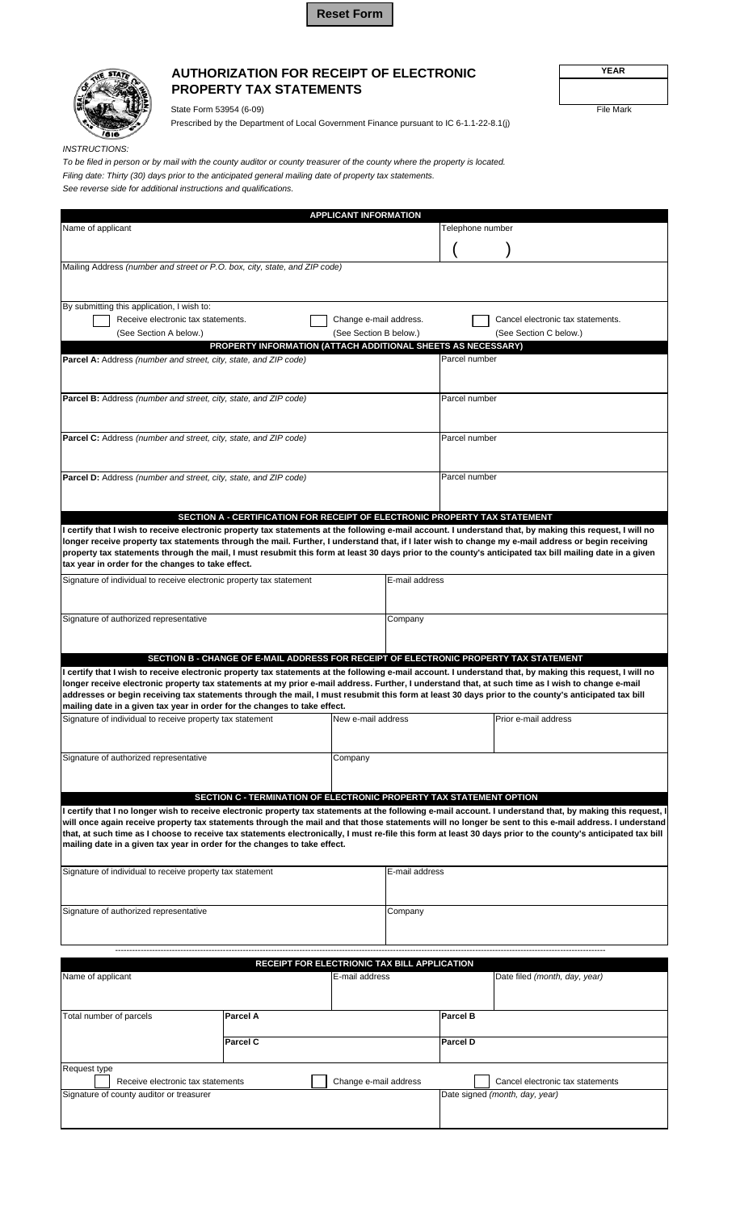



## **AUTHORIZATION FOR RECEIPT OF ELECTRONIC PROPERTY TAX STATEMENTS**

State Form 53954 (6-09) File Mark

Prescribed by the Department of Local Government Finance pursuant to IC 6-1.1-22-8.1(j)

*INSTRUCTIONS:*

*To be filed in person or by mail with the county auditor or county treasurer of the county where the property is located. Filing date: Thirty (30) days prior to the anticipated general mailing date of property tax statements. See reverse side for additional instructions and qualifications.*

|                                                                                                                                                                                                                                                                                                                         |          | <b>APPLICANT INFORMATION</b> |                    |                  |                                                             |  |
|-------------------------------------------------------------------------------------------------------------------------------------------------------------------------------------------------------------------------------------------------------------------------------------------------------------------------|----------|------------------------------|--------------------|------------------|-------------------------------------------------------------|--|
| Name of applicant                                                                                                                                                                                                                                                                                                       |          |                              |                    | Telephone number |                                                             |  |
|                                                                                                                                                                                                                                                                                                                         |          |                              |                    |                  |                                                             |  |
| Mailing Address (number and street or P.O. box, city, state, and ZIP code)                                                                                                                                                                                                                                              |          |                              |                    |                  |                                                             |  |
|                                                                                                                                                                                                                                                                                                                         |          |                              |                    |                  |                                                             |  |
| By submitting this application, I wish to:                                                                                                                                                                                                                                                                              |          |                              |                    |                  |                                                             |  |
| Receive electronic tax statements.<br>(See Section A below.)                                                                                                                                                                                                                                                            |          | Change e-mail address.       |                    |                  | Cancel electronic tax statements.<br>(See Section C below.) |  |
| (See Section B below.)<br>PROPERTY INFORMATION (ATTACH ADDITIONAL SHEETS AS NECESSARY)                                                                                                                                                                                                                                  |          |                              |                    |                  |                                                             |  |
| <b>Parcel A:</b> Address (number and street, city, state, and ZIP code)                                                                                                                                                                                                                                                 |          |                              |                    | Parcel number    |                                                             |  |
|                                                                                                                                                                                                                                                                                                                         |          |                              |                    |                  |                                                             |  |
| <b>Parcel B:</b> Address (number and street, city, state, and ZIP code)                                                                                                                                                                                                                                                 |          |                              |                    | Parcel number    |                                                             |  |
|                                                                                                                                                                                                                                                                                                                         |          |                              |                    |                  |                                                             |  |
| <b>Parcel C:</b> Address (number and street, city, state, and ZIP code)                                                                                                                                                                                                                                                 |          |                              |                    | Parcel number    |                                                             |  |
|                                                                                                                                                                                                                                                                                                                         |          |                              |                    |                  |                                                             |  |
| Parcel D: Address (number and street, city, state, and ZIP code)                                                                                                                                                                                                                                                        |          |                              |                    | Parcel number    |                                                             |  |
|                                                                                                                                                                                                                                                                                                                         |          |                              |                    |                  |                                                             |  |
| SECTION A - CERTIFICATION FOR RECEIPT OF ELECTRONIC PROPERTY TAX STATEMENT                                                                                                                                                                                                                                              |          |                              |                    |                  |                                                             |  |
| I certify that I wish to receive electronic property tax statements at the following e-mail account. I understand that, by making this request, I will no                                                                                                                                                               |          |                              |                    |                  |                                                             |  |
| longer receive property tax statements through the mail. Further, I understand that, if I later wish to change my e-mail address or begin receiving                                                                                                                                                                     |          |                              |                    |                  |                                                             |  |
| property tax statements through the mail, I must resubmit this form at least 30 days prior to the county's anticipated tax bill mailing date in a given<br>tax year in order for the changes to take effect.                                                                                                            |          |                              |                    |                  |                                                             |  |
| Signature of individual to receive electronic property tax statement                                                                                                                                                                                                                                                    |          |                              | E-mail address     |                  |                                                             |  |
|                                                                                                                                                                                                                                                                                                                         |          |                              |                    |                  |                                                             |  |
| Signature of authorized representative                                                                                                                                                                                                                                                                                  |          |                              | Company            |                  |                                                             |  |
|                                                                                                                                                                                                                                                                                                                         |          |                              |                    |                  |                                                             |  |
| SECTION B - CHANGE OF E-MAIL ADDRESS FOR RECEIPT OF ELECTRONIC PROPERTY TAX STATEMENT                                                                                                                                                                                                                                   |          |                              |                    |                  |                                                             |  |
| l certify that I wish to receive electronic property tax statements at the following e-mail account. I understand that, by making this request, I will no                                                                                                                                                               |          |                              |                    |                  |                                                             |  |
| longer receive electronic property tax statements at my prior e-mail address. Further, I understand that, at such time as I wish to change e-mail<br>addresses or begin receiving tax statements through the mail, I must resubmit this form at least 30 days prior to the county's anticipated tax bill                |          |                              |                    |                  |                                                             |  |
| mailing date in a given tax year in order for the changes to take effect.                                                                                                                                                                                                                                               |          |                              |                    |                  |                                                             |  |
| Signature of individual to receive property tax statement                                                                                                                                                                                                                                                               |          |                              | New e-mail address |                  | Prior e-mail address                                        |  |
|                                                                                                                                                                                                                                                                                                                         |          |                              |                    |                  |                                                             |  |
| Signature of authorized representative                                                                                                                                                                                                                                                                                  |          |                              | Company            |                  |                                                             |  |
|                                                                                                                                                                                                                                                                                                                         |          |                              |                    |                  |                                                             |  |
| SECTION C - TERMINATION OF ELECTRONIC PROPERTY TAX STATEMENT OPTION                                                                                                                                                                                                                                                     |          |                              |                    |                  |                                                             |  |
| I certify that I no longer wish to receive electronic property tax statements at the following e-mail account. I understand that, by making this request, I                                                                                                                                                             |          |                              |                    |                  |                                                             |  |
| will once again receive property tax statements through the mail and that those statements will no longer be sent to this e-mail address. I understand<br>that, at such time as I choose to receive tax statements electronically, I must re-file this form at least 30 days prior to the county's anticipated tax bill |          |                              |                    |                  |                                                             |  |
| mailing date in a given tax year in order for the changes to take effect.                                                                                                                                                                                                                                               |          |                              |                    |                  |                                                             |  |
| Signature of individual to receive property tax statement                                                                                                                                                                                                                                                               |          |                              | E-mail address     |                  |                                                             |  |
|                                                                                                                                                                                                                                                                                                                         |          |                              |                    |                  |                                                             |  |
| Signature of authorized representative                                                                                                                                                                                                                                                                                  |          |                              | Company            |                  |                                                             |  |
|                                                                                                                                                                                                                                                                                                                         |          |                              |                    |                  |                                                             |  |
|                                                                                                                                                                                                                                                                                                                         |          |                              |                    |                  |                                                             |  |
| RECEIPT FOR ELECTRIONIC TAX BILL APPLICATION                                                                                                                                                                                                                                                                            |          |                              |                    |                  |                                                             |  |
| Name of applicant<br>E-mail address<br>Date filed (month, day, year)                                                                                                                                                                                                                                                    |          |                              |                    |                  |                                                             |  |
|                                                                                                                                                                                                                                                                                                                         |          |                              |                    |                  |                                                             |  |
| Total number of parcels                                                                                                                                                                                                                                                                                                 | Parcel A |                              |                    | <b>Parcel B</b>  |                                                             |  |
|                                                                                                                                                                                                                                                                                                                         |          |                              |                    |                  |                                                             |  |
| <b>Parcel C</b>                                                                                                                                                                                                                                                                                                         |          |                              |                    | Parcel D         |                                                             |  |
| Request type                                                                                                                                                                                                                                                                                                            |          |                              |                    |                  |                                                             |  |
| Change e-mail address<br>Cancel electronic tax statements<br>Receive electronic tax statements                                                                                                                                                                                                                          |          |                              |                    |                  |                                                             |  |
| Signature of county auditor or treasurer                                                                                                                                                                                                                                                                                |          |                              |                    |                  | Date signed (month, day, year)                              |  |

**YEAR**